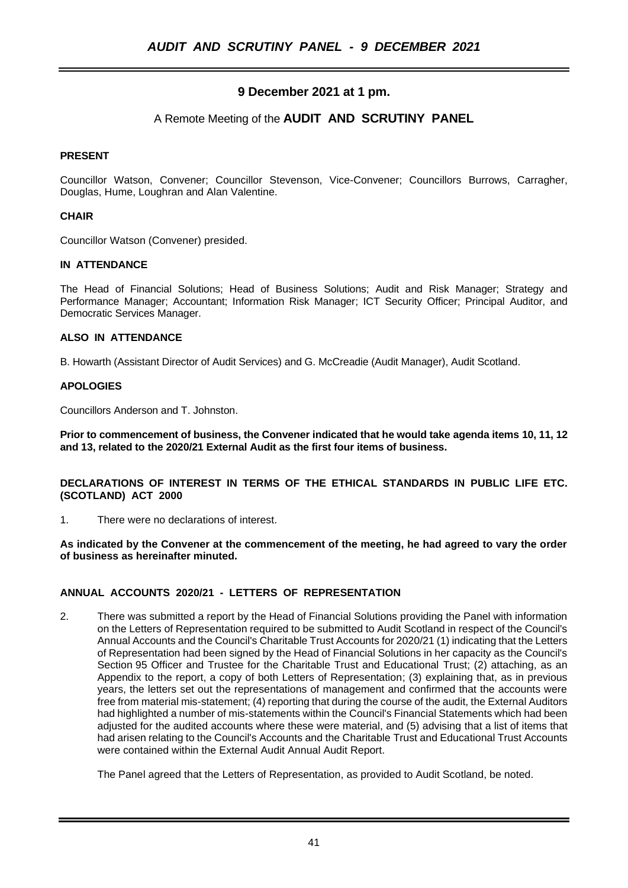# **9 December 2021 at 1 pm.**

# A Remote Meeting of the **AUDIT AND SCRUTINY PANEL**

## **PRESENT**

Councillor Watson, Convener; Councillor Stevenson, Vice-Convener; Councillors Burrows, Carragher, Douglas, Hume, Loughran and Alan Valentine.

## **CHAIR**

Councillor Watson (Convener) presided.

### **IN ATTENDANCE**

The Head of Financial Solutions; Head of Business Solutions; Audit and Risk Manager; Strategy and Performance Manager; Accountant; Information Risk Manager; ICT Security Officer; Principal Auditor, and Democratic Services Manager.

### **ALSO IN ATTENDANCE**

B. Howarth (Assistant Director of Audit Services) and G. McCreadie (Audit Manager), Audit Scotland.

### **APOLOGIES**

Councillors Anderson and T. Johnston.

**Prior to commencement of business, the Convener indicated that he would take agenda items 10, 11, 12 and 13, related to the 2020/21 External Audit as the first four items of business.**

**DECLARATIONS OF INTEREST IN TERMS OF THE ETHICAL STANDARDS IN PUBLIC LIFE ETC. (SCOTLAND) ACT 2000**

1. There were no declarations of interest.

**As indicated by the Convener at the commencement of the meeting, he had agreed to vary the order of business as hereinafter minuted.**

### **ANNUAL ACCOUNTS 2020/21 - LETTERS OF REPRESENTATION**

2. There was submitted a report by the Head of Financial Solutions providing the Panel with information on the Letters of Representation required to be submitted to Audit Scotland in respect of the Council's Annual Accounts and the Council's Charitable Trust Accounts for 2020/21 (1) indicating that the Letters of Representation had been signed by the Head of Financial Solutions in her capacity as the Council's Section 95 Officer and Trustee for the Charitable Trust and Educational Trust; (2) attaching, as an Appendix to the report, a copy of both Letters of Representation; (3) explaining that, as in previous years, the letters set out the representations of management and confirmed that the accounts were free from material mis-statement; (4) reporting that during the course of the audit, the External Auditors had highlighted a number of mis-statements within the Council's Financial Statements which had been adjusted for the audited accounts where these were material, and (5) advising that a list of items that had arisen relating to the Council's Accounts and the Charitable Trust and Educational Trust Accounts were contained within the External Audit Annual Audit Report.

The Panel agreed that the Letters of Representation, as provided to Audit Scotland, be noted.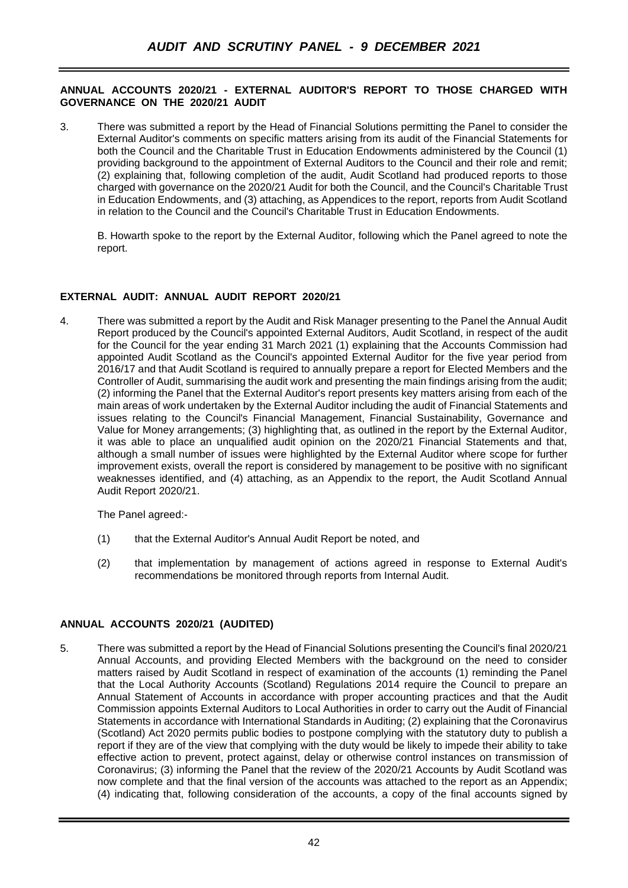## **ANNUAL ACCOUNTS 2020/21 - EXTERNAL AUDITOR'S REPORT TO THOSE CHARGED WITH GOVERNANCE ON THE 2020/21 AUDIT**

3. There was submitted a report by the Head of Financial Solutions permitting the Panel to consider the External Auditor's comments on specific matters arising from its audit of the Financial Statements for both the Council and the Charitable Trust in Education Endowments administered by the Council (1) providing background to the appointment of External Auditors to the Council and their role and remit; (2) explaining that, following completion of the audit, Audit Scotland had produced reports to those charged with governance on the 2020/21 Audit for both the Council, and the Council's Charitable Trust in Education Endowments, and (3) attaching, as Appendices to the report, reports from Audit Scotland in relation to the Council and the Council's Charitable Trust in Education Endowments.

B. Howarth spoke to the report by the External Auditor, following which the Panel agreed to note the report.

# **EXTERNAL AUDIT: ANNUAL AUDIT REPORT 2020/21**

4. There was submitted a report by the Audit and Risk Manager presenting to the Panel the Annual Audit Report produced by the Council's appointed External Auditors, Audit Scotland, in respect of the audit for the Council for the year ending 31 March 2021 (1) explaining that the Accounts Commission had appointed Audit Scotland as the Council's appointed External Auditor for the five year period from 2016/17 and that Audit Scotland is required to annually prepare a report for Elected Members and the Controller of Audit, summarising the audit work and presenting the main findings arising from the audit; (2) informing the Panel that the External Auditor's report presents key matters arising from each of the main areas of work undertaken by the External Auditor including the audit of Financial Statements and issues relating to the Council's Financial Management, Financial Sustainability, Governance and Value for Money arrangements; (3) highlighting that, as outlined in the report by the External Auditor, it was able to place an unqualified audit opinion on the 2020/21 Financial Statements and that, although a small number of issues were highlighted by the External Auditor where scope for further improvement exists, overall the report is considered by management to be positive with no significant weaknesses identified, and (4) attaching, as an Appendix to the report, the Audit Scotland Annual Audit Report 2020/21.

The Panel agreed:-

- (1) that the External Auditor's Annual Audit Report be noted, and
- (2) that implementation by management of actions agreed in response to External Audit's recommendations be monitored through reports from Internal Audit.

### **ANNUAL ACCOUNTS 2020/21 (AUDITED)**

5. There was submitted a report by the Head of Financial Solutions presenting the Council's final 2020/21 Annual Accounts, and providing Elected Members with the background on the need to consider matters raised by Audit Scotland in respect of examination of the accounts (1) reminding the Panel that the Local Authority Accounts (Scotland) Regulations 2014 require the Council to prepare an Annual Statement of Accounts in accordance with proper accounting practices and that the Audit Commission appoints External Auditors to Local Authorities in order to carry out the Audit of Financial Statements in accordance with International Standards in Auditing; (2) explaining that the Coronavirus (Scotland) Act 2020 permits public bodies to postpone complying with the statutory duty to publish a report if they are of the view that complying with the duty would be likely to impede their ability to take effective action to prevent, protect against, delay or otherwise control instances on transmission of Coronavirus; (3) informing the Panel that the review of the 2020/21 Accounts by Audit Scotland was now complete and that the final version of the accounts was attached to the report as an Appendix; (4) indicating that, following consideration of the accounts, a copy of the final accounts signed by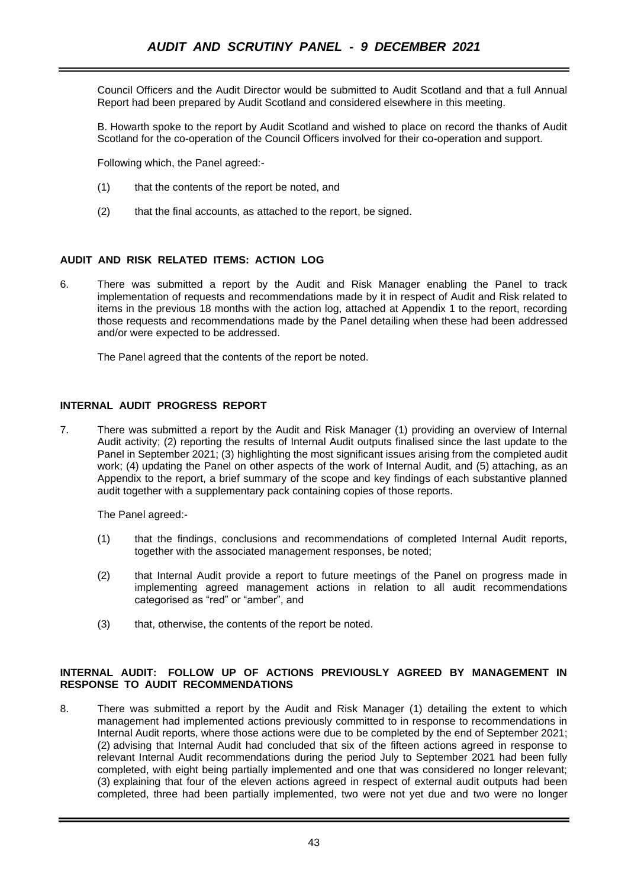Council Officers and the Audit Director would be submitted to Audit Scotland and that a full Annual Report had been prepared by Audit Scotland and considered elsewhere in this meeting.

B. Howarth spoke to the report by Audit Scotland and wished to place on record the thanks of Audit Scotland for the co-operation of the Council Officers involved for their co-operation and support.

Following which, the Panel agreed:-

- (1) that the contents of the report be noted, and
- (2) that the final accounts, as attached to the report, be signed.

#### **AUDIT AND RISK RELATED ITEMS: ACTION LOG**

6. There was submitted a report by the Audit and Risk Manager enabling the Panel to track implementation of requests and recommendations made by it in respect of Audit and Risk related to items in the previous 18 months with the action log, attached at Appendix 1 to the report, recording those requests and recommendations made by the Panel detailing when these had been addressed and/or were expected to be addressed.

The Panel agreed that the contents of the report be noted.

#### **INTERNAL AUDIT PROGRESS REPORT**

7. There was submitted a report by the Audit and Risk Manager (1) providing an overview of Internal Audit activity; (2) reporting the results of Internal Audit outputs finalised since the last update to the Panel in September 2021; (3) highlighting the most significant issues arising from the completed audit work; (4) updating the Panel on other aspects of the work of Internal Audit, and (5) attaching, as an Appendix to the report, a brief summary of the scope and key findings of each substantive planned audit together with a supplementary pack containing copies of those reports.

The Panel agreed:-

- (1) that the findings, conclusions and recommendations of completed Internal Audit reports, together with the associated management responses, be noted;
- (2) that Internal Audit provide a report to future meetings of the Panel on progress made in implementing agreed management actions in relation to all audit recommendations categorised as "red" or "amber", and
- (3) that, otherwise, the contents of the report be noted.

### **INTERNAL AUDIT: FOLLOW UP OF ACTIONS PREVIOUSLY AGREED BY MANAGEMENT IN RESPONSE TO AUDIT RECOMMENDATIONS**

8. There was submitted a report by the Audit and Risk Manager (1) detailing the extent to which management had implemented actions previously committed to in response to recommendations in Internal Audit reports, where those actions were due to be completed by the end of September 2021; (2) advising that Internal Audit had concluded that six of the fifteen actions agreed in response to relevant Internal Audit recommendations during the period July to September 2021 had been fully completed, with eight being partially implemented and one that was considered no longer relevant; (3) explaining that four of the eleven actions agreed in respect of external audit outputs had been completed, three had been partially implemented, two were not yet due and two were no longer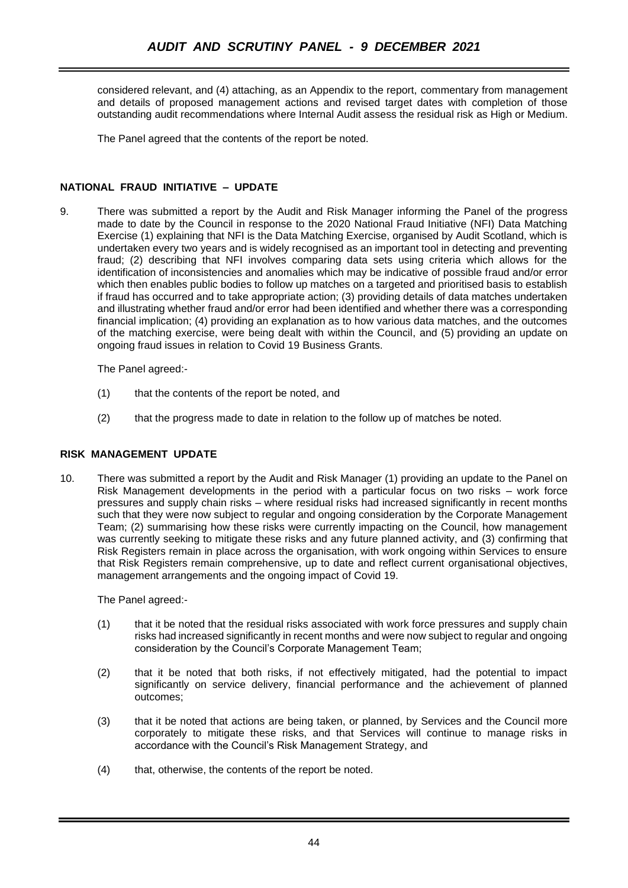considered relevant, and (4) attaching, as an Appendix to the report, commentary from management and details of proposed management actions and revised target dates with completion of those outstanding audit recommendations where Internal Audit assess the residual risk as High or Medium.

The Panel agreed that the contents of the report be noted.

# **NATIONAL FRAUD INITIATIVE – UPDATE**

9. There was submitted a report by the Audit and Risk Manager informing the Panel of the progress made to date by the Council in response to the 2020 National Fraud Initiative (NFI) Data Matching Exercise (1) explaining that NFI is the Data Matching Exercise, organised by Audit Scotland, which is undertaken every two years and is widely recognised as an important tool in detecting and preventing fraud; (2) describing that NFI involves comparing data sets using criteria which allows for the identification of inconsistencies and anomalies which may be indicative of possible fraud and/or error which then enables public bodies to follow up matches on a targeted and prioritised basis to establish if fraud has occurred and to take appropriate action; (3) providing details of data matches undertaken and illustrating whether fraud and/or error had been identified and whether there was a corresponding financial implication; (4) providing an explanation as to how various data matches, and the outcomes of the matching exercise, were being dealt with within the Council, and (5) providing an update on ongoing fraud issues in relation to Covid 19 Business Grants.

The Panel agreed:-

- (1) that the contents of the report be noted, and
- (2) that the progress made to date in relation to the follow up of matches be noted.

# **RISK MANAGEMENT UPDATE**

10. There was submitted a report by the Audit and Risk Manager (1) providing an update to the Panel on Risk Management developments in the period with a particular focus on two risks – work force pressures and supply chain risks – where residual risks had increased significantly in recent months such that they were now subject to regular and ongoing consideration by the Corporate Management Team; (2) summarising how these risks were currently impacting on the Council, how management was currently seeking to mitigate these risks and any future planned activity, and (3) confirming that Risk Registers remain in place across the organisation, with work ongoing within Services to ensure that Risk Registers remain comprehensive, up to date and reflect current organisational objectives, management arrangements and the ongoing impact of Covid 19.

The Panel agreed:-

- (1) that it be noted that the residual risks associated with work force pressures and supply chain risks had increased significantly in recent months and were now subject to regular and ongoing consideration by the Council's Corporate Management Team;
- (2) that it be noted that both risks, if not effectively mitigated, had the potential to impact significantly on service delivery, financial performance and the achievement of planned outcomes;
- (3) that it be noted that actions are being taken, or planned, by Services and the Council more corporately to mitigate these risks, and that Services will continue to manage risks in accordance with the Council's Risk Management Strategy, and
- (4) that, otherwise, the contents of the report be noted.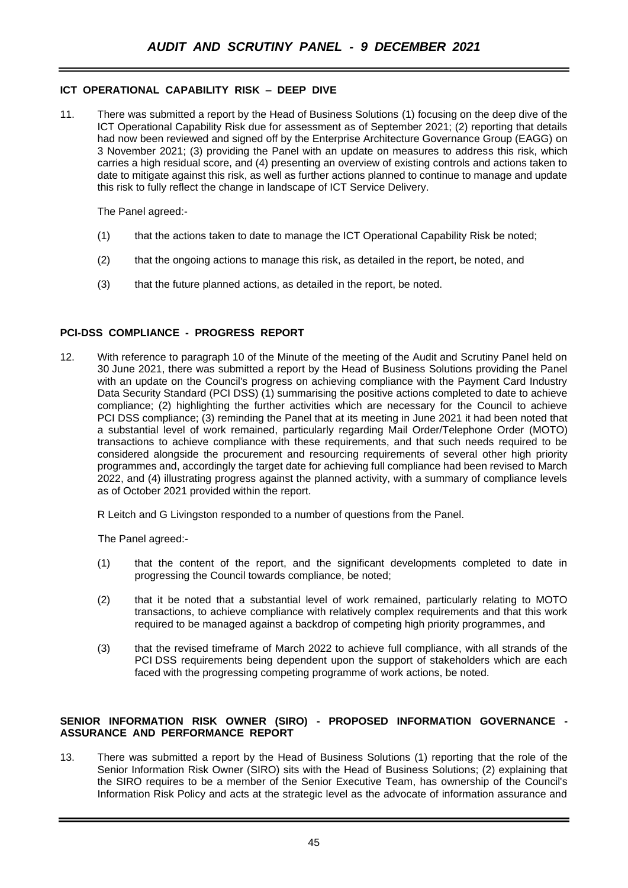## **ICT OPERATIONAL CAPABILITY RISK – DEEP DIVE**

11. There was submitted a report by the Head of Business Solutions (1) focusing on the deep dive of the ICT Operational Capability Risk due for assessment as of September 2021; (2) reporting that details had now been reviewed and signed off by the Enterprise Architecture Governance Group (EAGG) on 3 November 2021; (3) providing the Panel with an update on measures to address this risk, which carries a high residual score, and (4) presenting an overview of existing controls and actions taken to date to mitigate against this risk, as well as further actions planned to continue to manage and update this risk to fully reflect the change in landscape of ICT Service Delivery.

The Panel agreed:-

- (1) that the actions taken to date to manage the ICT Operational Capability Risk be noted;
- (2) that the ongoing actions to manage this risk, as detailed in the report, be noted, and
- (3) that the future planned actions, as detailed in the report, be noted.

### **PCI-DSS COMPLIANCE - PROGRESS REPORT**

12. With reference to paragraph 10 of the Minute of the meeting of the Audit and Scrutiny Panel held on 30 June 2021, there was submitted a report by the Head of Business Solutions providing the Panel with an update on the Council's progress on achieving compliance with the Payment Card Industry Data Security Standard (PCI DSS) (1) summarising the positive actions completed to date to achieve compliance; (2) highlighting the further activities which are necessary for the Council to achieve PCI DSS compliance; (3) reminding the Panel that at its meeting in June 2021 it had been noted that a substantial level of work remained, particularly regarding Mail Order/Telephone Order (MOTO) transactions to achieve compliance with these requirements, and that such needs required to be considered alongside the procurement and resourcing requirements of several other high priority programmes and, accordingly the target date for achieving full compliance had been revised to March 2022, and (4) illustrating progress against the planned activity, with a summary of compliance levels as of October 2021 provided within the report.

R Leitch and G Livingston responded to a number of questions from the Panel.

The Panel agreed:-

- (1) that the content of the report, and the significant developments completed to date in progressing the Council towards compliance, be noted;
- (2) that it be noted that a substantial level of work remained, particularly relating to MOTO transactions, to achieve compliance with relatively complex requirements and that this work required to be managed against a backdrop of competing high priority programmes, and
- (3) that the revised timeframe of March 2022 to achieve full compliance, with all strands of the PCI DSS requirements being dependent upon the support of stakeholders which are each faced with the progressing competing programme of work actions, be noted.

#### **SENIOR INFORMATION RISK OWNER (SIRO) - PROPOSED INFORMATION GOVERNANCE - ASSURANCE AND PERFORMANCE REPORT**

13. There was submitted a report by the Head of Business Solutions (1) reporting that the role of the Senior Information Risk Owner (SIRO) sits with the Head of Business Solutions; (2) explaining that the SIRO requires to be a member of the Senior Executive Team, has ownership of the Council's Information Risk Policy and acts at the strategic level as the advocate of information assurance and